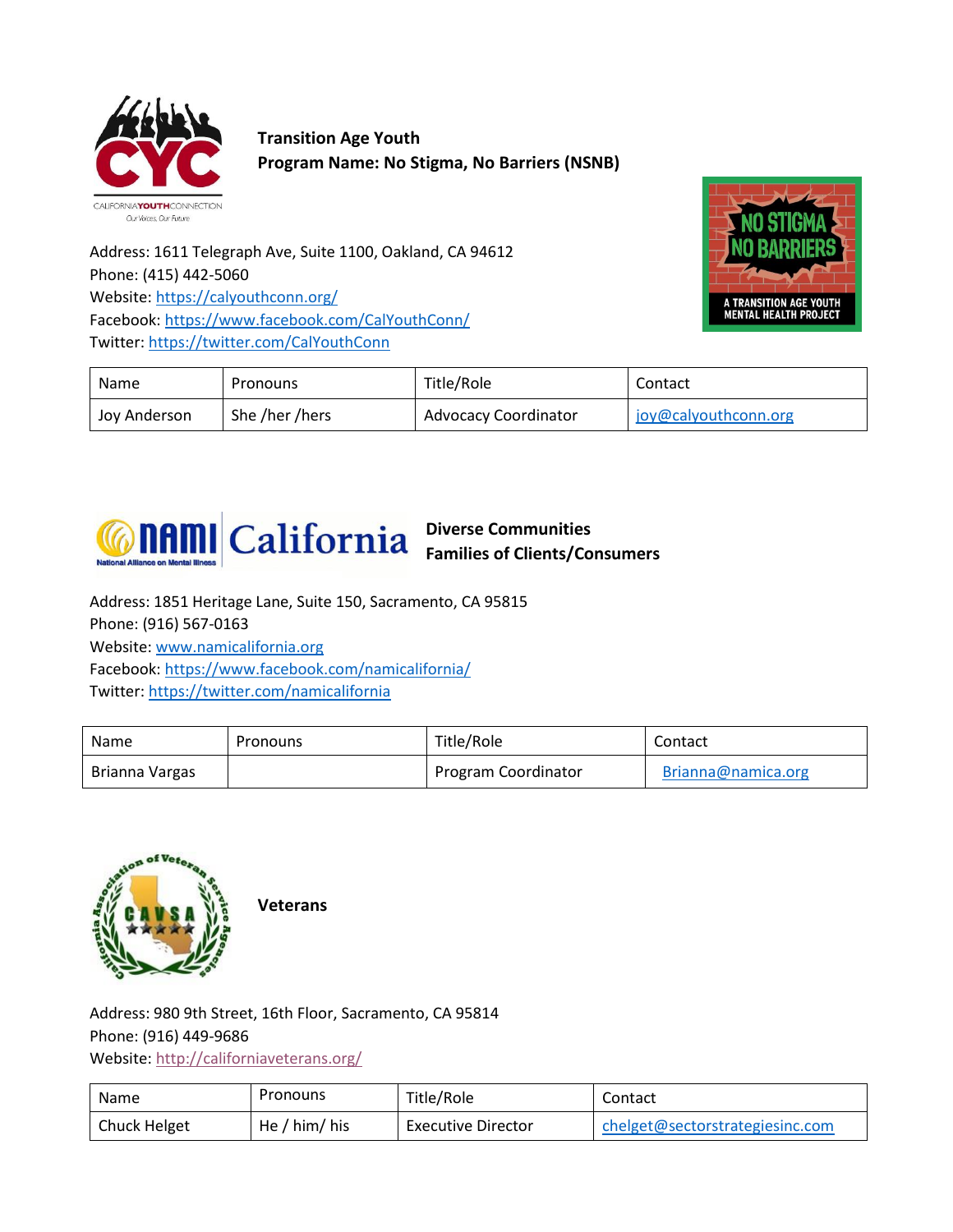

**Transition Age Youth Program Name: No Stigma, No Barriers (NSNB)**

Address: 1611 Telegraph Ave, Suite 1100, Oakland, CA 94612 Phone: (415) 442-5060 Website: <https://calyouthconn.org/> Facebook:<https://www.facebook.com/CalYouthConn/> Twitter[: https://twitter.com/CalYouthConn](https://twitter.com/CalYouthConn)



| Name         | Pronouns       | Title/Role           | Contact              |
|--------------|----------------|----------------------|----------------------|
| Jov Anderson | She /her /hers | Advocacy Coordinator | joy@calyouthconn.org |



**Diverse Communities Families of Clients/Consumers**

Address: 1851 Heritage Lane, Suite 150, Sacramento, CA 95815 Phone: (916) 567-0163 Website: [www.namicalifornia.org](http://www.namicalifornia.org/)  Facebook:<https://www.facebook.com/namicalifornia/> Twitter[: https://twitter.com/namicalifornia](https://twitter.com/namicalifornia)

| Name           | Pronouns | Title/Role          | Contact            |
|----------------|----------|---------------------|--------------------|
| Brianna Vargas |          | Program Coordinator | Brianna@namica.org |



**Veterans**

Address: 980 9th Street, 16th Floor, Sacramento, CA 95814 Phone: (916) 449-9686 Website:<http://californiaveterans.org/>

| Name         | Pronouns      | Title/Role                | Contact                         |
|--------------|---------------|---------------------------|---------------------------------|
| Chuck Helget | He / him/ his | <b>Executive Director</b> | chelget@sectorstrategiesinc.com |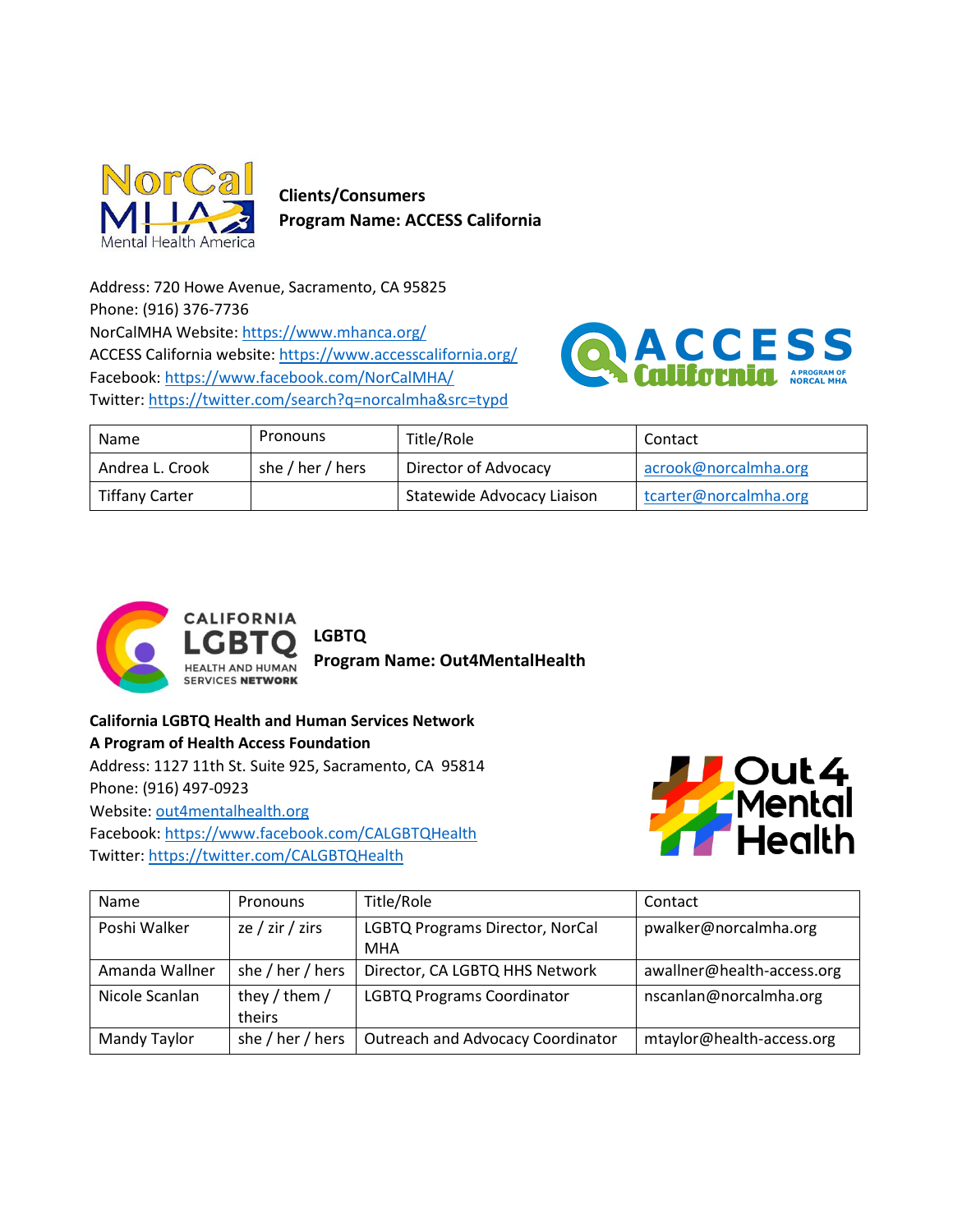

 **Clients/Consumers Program Name: ACCESS California** 

Address: 720 Howe Avenue, Sacramento, CA 95825 Phone: (916) 376-7736 NorCalMHA Website: <https://www.mhanca.org/> ACCESS California website[: https://www.accesscalifornia.org/](https://www.accesscalifornia.org/) Facebook:<https://www.facebook.com/NorCalMHA/> Twitter[: https://twitter.com/search?q=norcalmha&src=typd](https://twitter.com/search?q=norcalmha&src=typd)



| Name                  | Pronouns         | Title/Role                 | Contact               |
|-----------------------|------------------|----------------------------|-----------------------|
| Andrea L. Crook       | she / her / hers | Director of Advocacy       | acrook@norcalmha.org  |
| <b>Tiffany Carter</b> |                  | Statewide Advocacy Liaison | tcarter@norcalmha.org |



**LGBTQ Program Name: Out4MentalHealth**

**California LGBTQ Health and Human Services Network A Program of Health Access Foundation** Address: 1127 11th St. Suite 925, Sacramento, CA 95814 Phone: (916) 497-0923 Website: [out4mentalhealth.org](https://californialgbtqhealth.org/about-us/out4mentalhealth/) Facebook:<https://www.facebook.com/CALGBTQHealth> Twitter[: https://twitter.com/CALGBTQHealth](https://twitter.com/CALGBTQHealth)



| Name           | Pronouns         | Title/Role                               | Contact                    |
|----------------|------------------|------------------------------------------|----------------------------|
| Poshi Walker   | ze / zir / zirs  | LGBTQ Programs Director, NorCal          | pwalker@norcalmha.org      |
|                |                  | <b>MHA</b>                               |                            |
| Amanda Wallner | she / her / hers | Director, CA LGBTQ HHS Network           | awallner@health-access.org |
| Nicole Scanlan | they / them /    | <b>LGBTQ Programs Coordinator</b>        | nscanlan@norcalmha.org     |
|                | theirs           |                                          |                            |
| Mandy Taylor   | she / her / hers | <b>Outreach and Advocacy Coordinator</b> | mtaylor@health-access.org  |